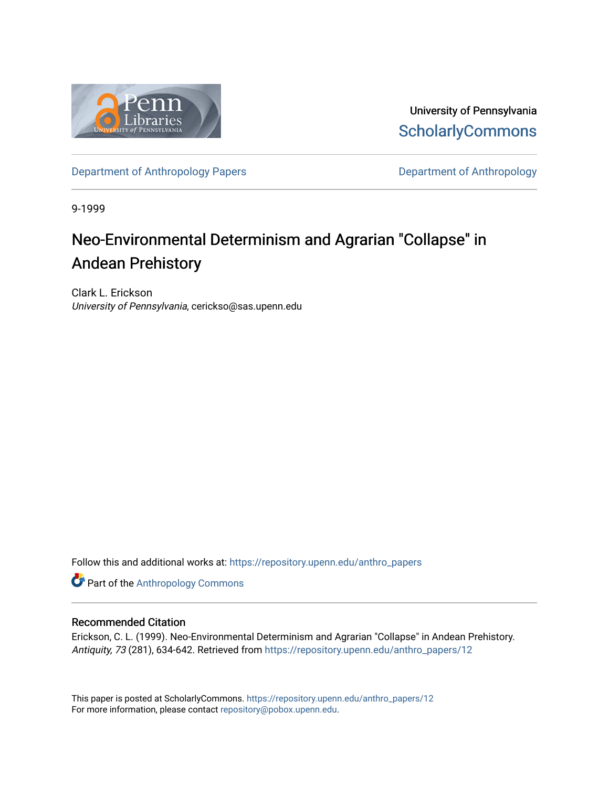

University of Pennsylvania **ScholarlyCommons** 

[Department of Anthropology Papers](https://repository.upenn.edu/anthro_papers) **Department of Anthropology** 

9-1999

## Neo-Environmental Determinism and Agrarian "Collapse" in Andean Prehistory

Clark L. Erickson University of Pennsylvania, cerickso@sas.upenn.edu

Follow this and additional works at: [https://repository.upenn.edu/anthro\\_papers](https://repository.upenn.edu/anthro_papers?utm_source=repository.upenn.edu%2Fanthro_papers%2F12&utm_medium=PDF&utm_campaign=PDFCoverPages)

Part of the [Anthropology Commons](http://network.bepress.com/hgg/discipline/318?utm_source=repository.upenn.edu%2Fanthro_papers%2F12&utm_medium=PDF&utm_campaign=PDFCoverPages)

#### Recommended Citation

Erickson, C. L. (1999). Neo-Environmental Determinism and Agrarian "Collapse" in Andean Prehistory. Antiquity, 73 (281), 634-642. Retrieved from [https://repository.upenn.edu/anthro\\_papers/12](https://repository.upenn.edu/anthro_papers/12?utm_source=repository.upenn.edu%2Fanthro_papers%2F12&utm_medium=PDF&utm_campaign=PDFCoverPages)

This paper is posted at ScholarlyCommons. [https://repository.upenn.edu/anthro\\_papers/12](https://repository.upenn.edu/anthro_papers/12) For more information, please contact [repository@pobox.upenn.edu.](mailto:repository@pobox.upenn.edu)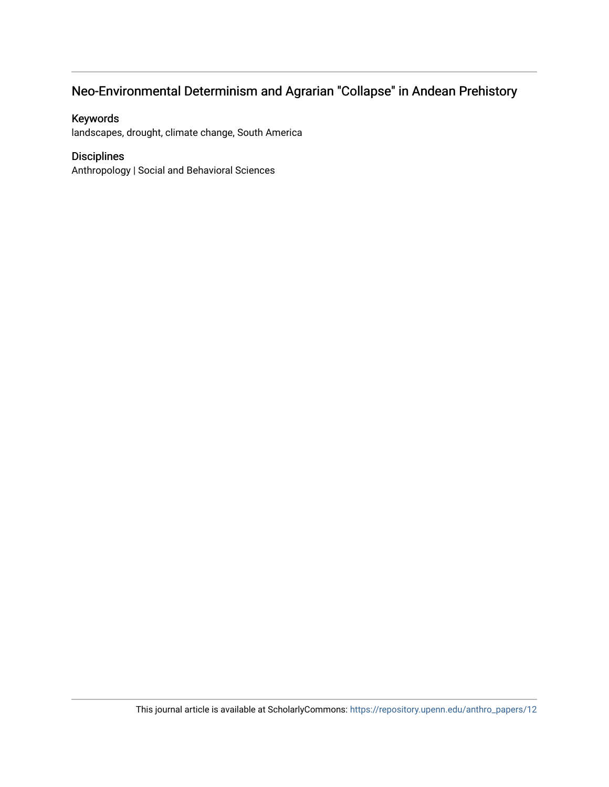## Neo-Environmental Determinism and Agrarian "Collapse" in Andean Prehistory

### Keywords

landscapes, drought, climate change, South America

#### Disciplines

Anthropology | Social and Behavioral Sciences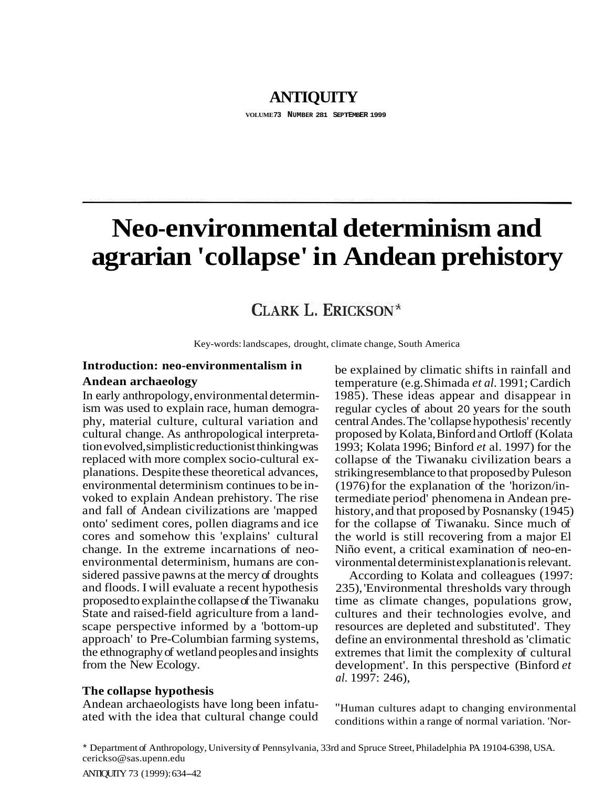## **ANTIQUITY**

**VOLUME73 NUMBER 281 SEPTEMBER 1999** 

# **Neo-environmental determinism and agrarian 'collapse' in Andean prehistory**

## CLARK L. ERICKSON\*

Key-words: landscapes, drought, climate change, South America

### **Introduction: neo-environmentalism in Andean archaeology**

In early anthropology, environmental determinism was used to explain race, human demography, material culture, cultural variation and cultural change. As anthropological interpretation evolved, simplistic reductionist thinking was replaced with more complex socio-cultural explanations. Despite these theoretical advances, environmental determinism continues to be invoked to explain Andean prehistory. The rise and fall of Andean civilizations are 'mapped onto' sediment cores, pollen diagrams and ice cores and somehow this 'explains' cultural change. In the extreme incarnations of neoenvironmental determinism, humans are considered passive pawns at the mercy of droughts and floods. I will evaluate a recent hypothesis proposed to explain the collapse of the Tiwanaku State and raised-field agriculture from a landscape perspective informed by a 'bottom-up approach' to Pre-Columbian farming systems, the ethnography of wetland peoples and insights from the New Ecology.

#### **The collapse hypothesis**

Andean archaeologists have long been infatuated with the idea that cultural change could

be explained by climatic shifts in rainfall and temperature (e.g. Shimada *et al.* 1991; Cardich 1985). These ideas appear and disappear in regular cycles of about 20 years for the south central Andes. The 'collapse hypothesis' recently proposed by Kolata, Binford and Ortloff (Kolata 1993; Kolata 1996; Binford *et* al. 1997) for the collapse of the Tiwanaku civilization bears a striking resemblance to that proposed by Puleson (1976) for the explanation of the 'horizon/intermediate period' phenomena in Andean prehistory, and that proposed by Posnansky (1945) for the collapse of Tiwanaku. Since much of the world is still recovering from a major El Niño event, a critical examination of neo-environmental determinist explanation is relevant.

According to Kolata and colleagues (1997: 235), 'Environmental thresholds vary through time as climate changes, populations grow, cultures and their technologies evolve, and resources are depleted and substituted'. They define an environmental threshold as 'climatic extremes that limit the complexity of cultural development'. In this perspective (Binford *et al.* 1997: 246),

"Human cultures adapt to changing environmental conditions within a range of normal variation. 'Nor-

\* Department of Anthropology, University of Pennsylvania, 33rd and Spruce Street, Philadelphia PA 19104-6398, USA. cerickso@sas.upenn.edu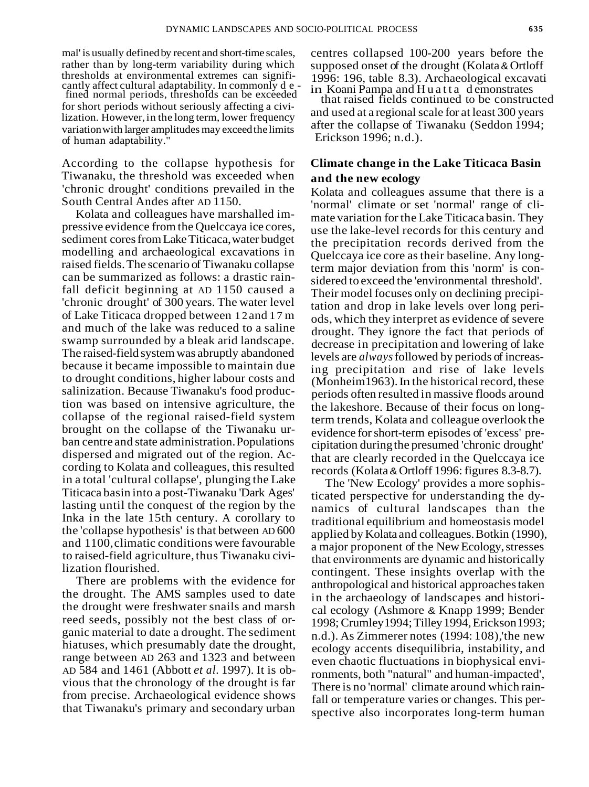mal' is usually defined by recent and short-time scales, centres collapsed 100-200 years before the rather than by long-term variability during which supposed onset of the drought (Kolata & Ortloff thresholds at environmental extremes can signifi-<br>cantly affect cultural adaptability. In commonly d e -<br>fined normal periods, thresholds can be exceeded<br>for short periods without seriously affecting a civi-<br>for short per for short periods without seriously affecting a civi-<br>lization. However, in the long term, lower frequency and used at a regional scale for at least 300 years variation with larger amplitudes may exceed the limits after the collapse of Tiwanaku (Seddon 1994; of human adaptability." Erickson 1996; n.d.).

According to the collapse hypothesis for Tiwanaku, the threshold was exceeded when 'chronic drought' conditions prevailed in the South Central Andes after AD 1150.

Kolata and colleagues have marshalled impressive evidence from the Quelccaya ice cores, sediment cores from Lake Titicaca, water budget modelling and archaeological excavations in raised fields. The scenario of Tiwanaku collapse can be summarized as follows: a drastic rainfall deficit beginning at AD 1150 caused a 'chronic drought' of 300 years. The water level of Lake Titicaca dropped between 12 and 17 m and much of the lake was reduced to a saline swamp surrounded by a bleak arid landscape. The raised-field system was abruptly abandoned because it became impossible to maintain due to drought conditions, higher labour costs and salinization. Because Tiwanaku's food production was based on intensive agriculture, the collapse of the regional raised-field system brought on the collapse of the Tiwanaku urban centre and state administration. Populations dispersed and migrated out of the region. According to Kolata and colleagues, this resulted in a total 'cultural collapse', plunging the Lake Titicaca basin into a post-Tiwanaku 'Dark Ages' lasting until the conquest of the region by the Inka in the late 15th century. A corollary to the 'collapse hypothesis' is that between AD 600 and 1100, climatic conditions were favourable to raised-field agriculture, thus Tiwanaku civilization flourished.

There are problems with the evidence for the drought. The AMS samples used to date the drought were freshwater snails and marsh reed seeds, possibly not the best class of organic material to date a drought. The sediment hiatuses, which presumably date the drought, range between AD 263 and 1323 and between AD 584 and 1461 (Abbott *et al.* 1997). It is obvious that the chronology of the drought is far from precise. Archaeological evidence shows that Tiwanaku's primary and secondary urban

rather than by long-term variability during which supposed onset of the drought (Kolata & Ortloff<br>thresholds at environmental extremes can signifi-<br>1996; 196, table 8.3). Archaeological excavati

#### **Climate change in the Lake Titicaca Basin and the new ecology**

Kolata and colleagues assume that there is a 'normal' climate or set 'normal' range of climate variation for the Lake Titicaca basin. They use the lake-level records for this century and the precipitation records derived from the Quelccaya ice core as their baseline. Any longterm major deviation from this 'norm' is considered to exceed the 'environmental threshold'. Their model focuses only on declining precipitation and drop in lake levels over long periods, which they interpret as evidence of severe drought. They ignore the fact that periods of decrease in precipitation and lowering of lake levels are *always* followed by periods of increasing precipitation and rise of lake levels (Monheim 1963). In the historical record, these periods often resulted in massive floods around the lakeshore. Because of their focus on longterm trends, Kolata and colleague overlook the evidence for short-term episodes of 'excess' precipitation during the presumed 'chronic drought' that are clearly recorded in the Quelccaya ice records (Kolata & Ortloff 1996: figures 8.3-8.7).

The 'New Ecology' provides a more sophisticated perspective for understanding the dynamics of cultural landscapes than the traditional equilibrium and homeostasis model applied by Kolata and colleagues. Botkin (1990), a major proponent of the New Ecology, stresses that environments are dynamic and historically contingent. These insights overlap with the anthropological and historical approaches taken in the archaeology of landscapes and historical ecology (Ashmore & Knapp 1999; Bender 1998; Crumley 1994; Tilley 1994, Erickson 1993; n.d.). As Zimmerer notes (1994: 108), 'the new ecology accents disequilibria, instability, and even chaotic fluctuations in biophysical environments, both "natural" and human-impacted', There is no 'normal' climate around which rainfall or temperature varies or changes. This perspective also incorporates long-term human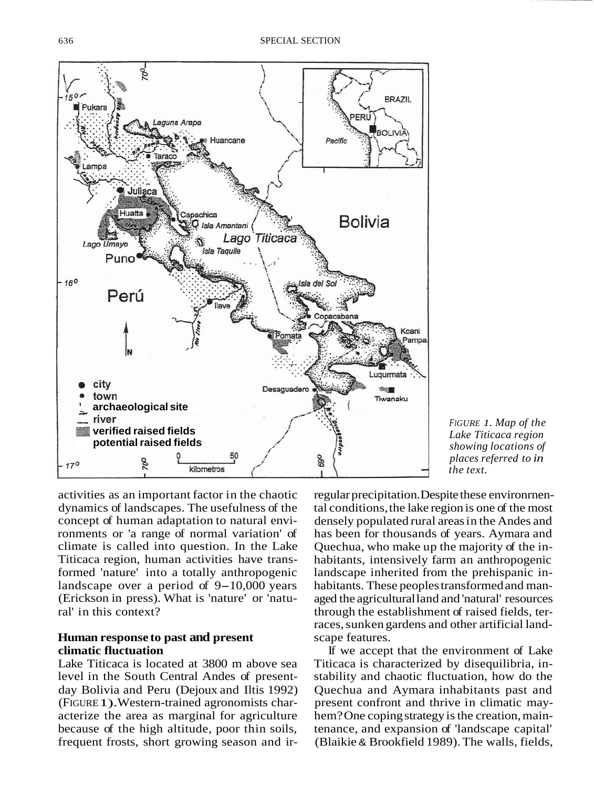

*FIGURE 1. Map of the Lake Titicaca region showing locations of places referred to in the text.* 

activities as an important factor in the chaotic dynamics of landscapes. The usefulness of the concept of human adaptation to natural environments or 'a range of normal variation' of climate is called into question. In the Lake Titicaca region, human activities have transformed 'nature' into a totally anthropogenic landscape over a period of  $9-10,000$  years (Erickson in press). What is 'nature' or 'natural' in this context?

#### **Human response to past and present climatic fluctuation**

Lake Titicaca is located at 3800 m above sea level in the South Central Andes of presentday Bolivia and Peru (Dejoux and Iltis 1992) (FIGURE 1). Western-trained agronomists characterize the area as marginal for agriculture because of the high altitude, poor thin soils, frequent frosts, short growing season and irregular precipitation. Despite these environrnental conditions, the lake region is one of the most densely populated rural areas in the Andes and has been for thousands of years. Aymara and Quechua, who make up the majority of the inhabitants, intensively farm an anthropogenic landscape inherited from the prehispanic inhabitants. These peoples transformed and managed the agricultural land and 'natural' resources through the establishment of raised fields, terraces, sunken gardens and other artificial landscape features.

If we accept that the environment of Lake Titicaca is characterized by disequilibria, instability and chaotic fluctuation, how do the Quechua and Aymara inhabitants past and present confront and thrive in climatic mayhem? One coping strategy is the creation, maintenance, and expansion of 'landscape capital' (Blaikie & Brookfield 1989). The walls, fields,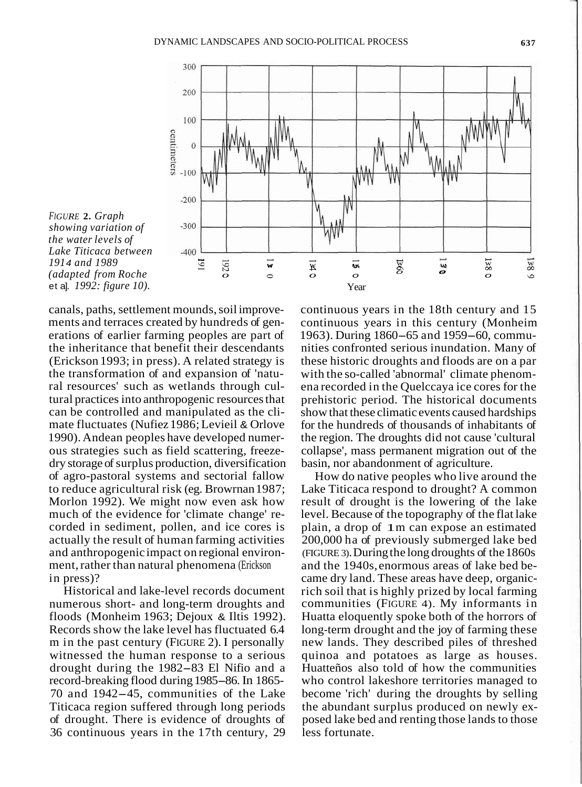

*FIGURE* **2.** *Graph showing variation of the water levels of Lake Titicaca between* 

canals, paths, settlement mounds, soil improvements and terraces created by hundreds of generations of earlier farming peoples are part of the inheritance that benefit their descendants (Erickson 1993; in press). A related strategy is the transformation of and expansion of 'natural resources' such as wetlands through cultural practices into anthropogenic resources that can be controlled and manipulated as the climate fluctuates (Nufiez 1986; Levieil & Orlove 1990). Andean peoples have developed numerous strategies such as field scattering, freezedry storage of surplus production, diversification of agro-pastoral systems and sectorial fallow to reduce agricultural risk (eg. Browrnan 1987; Morlon 1992). We might now even ask how much of the evidence for 'climate change' recorded in sediment, pollen, and ice cores is actually the result of human farming activities and anthropogenic impact on regional environment, rather than natural phenomena (Erickson in press)?

Historical and lake-level records document numerous short- and long-term droughts and floods (Monheim 1963; Dejoux & Iltis 1992). Records show the lake level has fluctuated 6.4 m in the past century (FIGURE 2). I personally witnessed the human response to a serious drought during the 1982-83 El Nifio and a record-breaking flood during 1985-86. In 1865- 70 and 1942-45, communities of the Lake Titicaca region suffered through long periods of drought. There is evidence of droughts of 36 continuous years in the 17th century, 29

continuous years in the 18th century and 15 continuous years in this century (Monheim 1963). During 1860-65 and 1959-60, communities confronted serious inundation. Many of these historic droughts and floods are on a par with the so-called 'abnormal' climate phenomena recorded in the Quelccaya ice cores for the prehistoric period. The historical documents show that these climatic events caused hardships for the hundreds of thousands of inhabitants of the region. The droughts did not cause 'cultural collapse', mass permanent migration out of the basin, nor abandonment of agriculture.

How do native peoples who live around the Lake Titicaca respond to drought? A common result of drought is the lowering of the lake level. Because of the topography of the flat lake plain, a drop of 1 m can expose an estimated 200,000 ha of previously submerged lake bed (FIGURE 3). During the long droughts of the 1860s and the 1940s, enormous areas of lake bed became dry land. These areas have deep, organicrich soil that is highly prized by local farming communities (FIGURE 4). My informants in Huatta eloquently spoke both of the horrors of long-term drought and the joy of farming these new lands. They described piles of threshed quinoa and potatoes as large as houses. Huatteños also told of how the communities who control lakeshore territories managed to become 'rich' during the droughts by selling the abundant surplus produced on newly exposed lake bed and renting those lands to those less fortunate.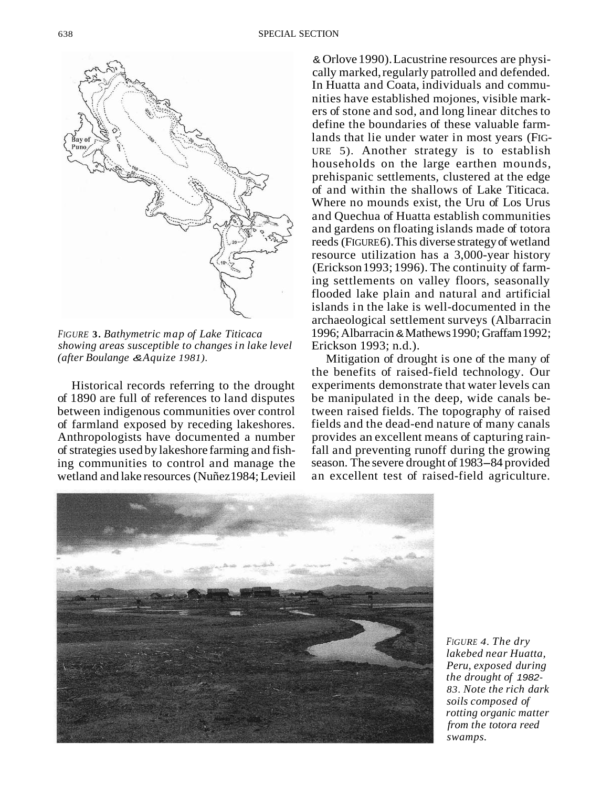

*FIGURE* **3.** *Bathymetric map of Lake Titicaca showing areas susceptible to changes in lake level (after Boulange* &*Aquize 1981).* 

Historical records referring to the drought of 1890 are full of references to land disputes between indigenous communities over control of farmland exposed by receding lakeshores. Anthropologists have documented a number of strategies used by lakeshore farming and fishing communities to control and manage the wetland and lake resources (Nuñez 1984; Levieil

& Orlove 1990). Lacustrine resources are physically marked, regularly patrolled and defended. In Huatta and Coata, individuals and communities have established mojones, visible markers of stone and sod, and long linear ditches to define the boundaries of these valuable farmlands that lie under water in most years (FIG-URE 5). Another strategy is to establish households on the large earthen mounds, prehispanic settlements, clustered at the edge of and within the shallows of Lake Titicaca. Where no mounds exist, the Uru of Los Urus and Quechua of Huatta establish communities and gardens on floating islands made of totora reeds (FIGURE 6). This diverse strategy of wetland resource utilization has a 3,000-year history (Erickson 1993; 1996). The continuity of farming settlements on valley floors, seasonally flooded lake plain and natural and artificial islands in the lake is well-documented in the archaeological settlement surveys (Albarracin 1996; Albarracin & Mathews 1990; Graffam 1992; Erickson 1993; n.d.).

Mitigation of drought is one of the many of the benefits of raised-field technology. Our experiments demonstrate that water levels can be manipulated in the deep, wide canals between raised fields. The topography of raised fields and the dead-end nature of many canals provides an excellent means of capturing rainfall and preventing runoff during the growing season. The severe drought of 1983-84 provided an excellent test of raised-field agriculture.



*FIGURE 4. The dry lakebed near Huatta, Peru, exposed during the drought of* 1982- *83. Note the rich dark soils composed of rotting organic matter from the totora reed swamps.*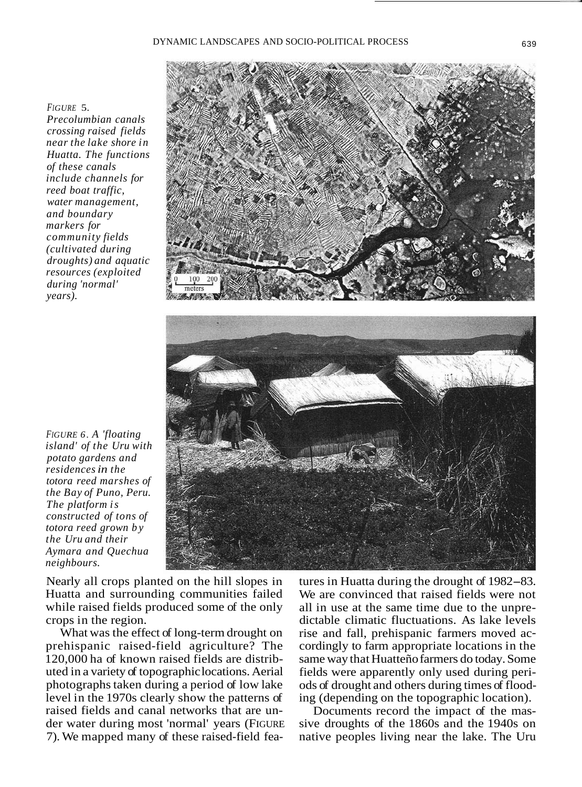#### *FIGURE* 5.

*Precolumbian canals crossing raised fields near the lake shore in Huatta. The functions of these canals include channels for reed boat traffic, water management, and boundary markers for community fields (cultivated during droughts) and aquatic resources (exploited during 'normal' years).* 





*FIGURE 6. A 'floating island' of the Uru with potato gardens and residences in the totora reed marshes of the Bay of Puno, Peru. The platform is constructed of tons of totora reed grown by the Uru and their Aymara and Quechua neighbours.* 

Nearly all crops planted on the hill slopes in Huatta and surrounding communities failed while raised fields produced some of the only crops in the region.

What was the effect of long-term drought on prehispanic raised-field agriculture? The 120,000 ha of known raised fields are distributed in a variety of topographic locations. Aerial photographs taken during a period of low lake level in the 1970s clearly show the patterns of raised fields and canal networks that are under water during most 'normal' years (FIGURE 7). We mapped many of these raised-field features in Huatta during the drought of 1982-83. We are convinced that raised fields were not all in use at the same time due to the unpredictable climatic fluctuations. As lake levels rise and fall, prehispanic farmers moved accordingly to farm appropriate locations in the same way that Huatteño farmers do today. Some fields were apparently only used during periods of drought and others during times of flooding (depending on the topographic location).

Documents record the impact of the massive droughts of the 1860s and the 1940s on native peoples living near the lake. The Uru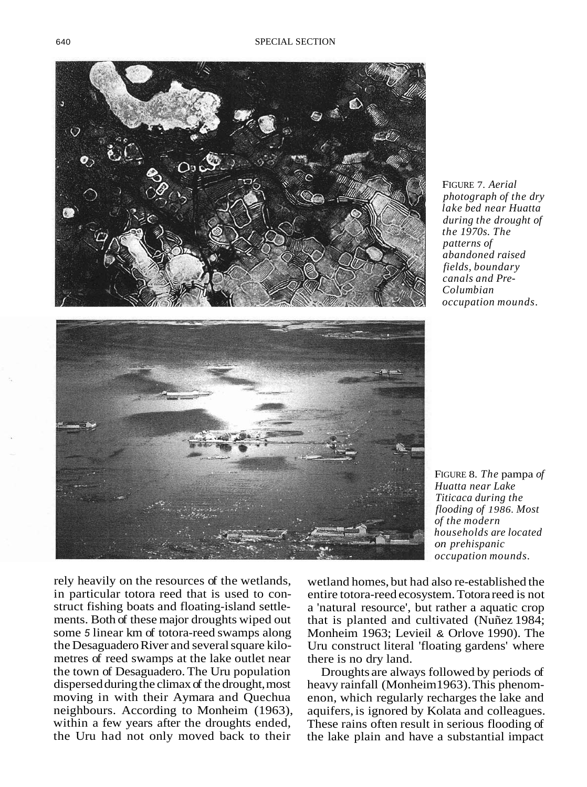

FIGURE 7. *Aerial photograph of the dry lake bed near Huatta during the drought of the 1970s. The patterns of abandoned raised fields, boundary canals and Pre-Colum bian occupation mounds.* 



FIGURE 8. *The* pampa *of Huatta near Lake Titicaca during the flooding of 1986. Most of the modern households are located on prehispanic occupation mounds.* 

rely heavily on the resources of the wetlands, in particular totora reed that is used to construct fishing boats and floating-island settlements. Both of these major droughts wiped out some 5 linear km of totora-reed swamps along the Desaguadero River and several square kilometres of reed swamps at the lake outlet near the town of Desaguadero. The Uru population dispersed during the climax of the drought, most moving in with their Aymara and Quechua neighbours. According to Monheim (1963), within a few years after the droughts ended, the Uru had not only moved back to their

wetland homes, but had also re-established the entire totora-reed ecosystem. Totora reed is not a 'natural resource', but rather a aquatic crop that is planted and cultivated (Nuñez 1984; Monheim 1963; Levieil & Orlove 1990). The Uru construct literal 'floating gardens' where there is no dry land.

Droughts are always followed by periods of heavy rainfall (Monheim 1963). This phenomenon, which regularly recharges the lake and aquifers, is ignored by Kolata and colleagues. These rains often result in serious flooding of the lake plain and have a substantial impact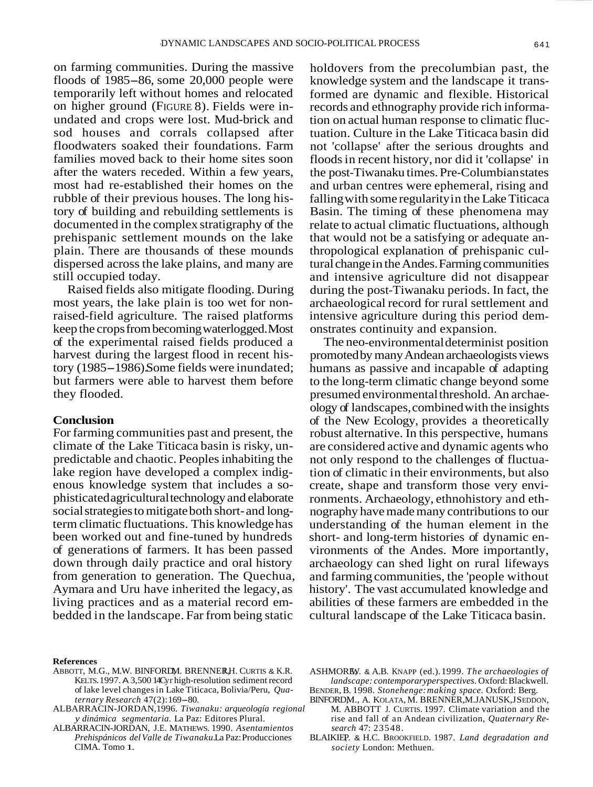on farming communities. During the massive floods of 1985-86, some 20,000 people were temporarily left without homes and relocated on higher ground (FIGURE 8). Fields were inundated and crops were lost. Mud-brick and sod houses and corrals collapsed after floodwaters soaked their foundations. Farm families moved back to their home sites soon after the waters receded. Within a few years, most had re-established their homes on the rubble of their previous houses. The long history of building and rebuilding settlements is documented in the complex stratigraphy of the prehispanic settlement mounds on the lake plain. There are thousands of these mounds dispersed across the lake plains, and many are still occupied today.

Raised fields also mitigate flooding. During most years, the lake plain is too wet for nonraised-field agriculture. The raised platforms keep the crops from becoming waterlogged. Most of the experimental raised fields produced a harvest during the largest flood in recent history (1985-1986). Some fields were inundated; but farmers were able to harvest them before they flooded.

#### **Conclusion**

For farming communities past and present, the climate of the Lake Titicaca basin is risky, unpredictable and chaotic. Peoples inhabiting the lake region have developed a complex indigenous knowledge system that includes a sophisticated agricultural technology and elaborate social strategies to mitigate both short- and longterm climatic fluctuations. This knowledge has been worked out and fine-tuned by hundreds of generations of farmers. It has been passed down through daily practice and oral history from generation to generation. The Quechua, Aymara and Uru have inherited the legacy, as living practices and as a material record embedded in the landscape. Far from being static

holdovers from the precolumbian past, the knowledge system and the landscape it transformed are dynamic and flexible. Historical records and ethnography provide rich information on actual human response to climatic fluctuation. Culture in the Lake Titicaca basin did not 'collapse' after the serious droughts and floods in recent history, nor did it 'collapse' in the post-Tiwanaku times. Pre-Columbian states and urban centres were ephemeral, rising and falling with some regularity in the Lake Titicaca Basin. The timing of these phenomena may relate to actual climatic fluctuations, although that would not be a satisfying or adequate anthropological explanation of prehispanic cultural change in the Andes. Farming communities and intensive agriculture did not disappear during the post-Tiwanaku periods. In fact, the archaeological record for rural settlement and intensive agriculture during this period demonstrates continuity and expansion.

The neo-environmental determinist position promoted by many Andean archaeologists views humans as passive and incapable of adapting to the long-term climatic change beyond some presumed environmental threshold. An archaeology of landscapes, combined with the insights of the New Ecology, provides a theoretically robust alternative. In this perspective, humans are considered active and dynamic agents who not only respond to the challenges of fluctuation of climatic in their environments, but also create, shape and transform those very environments. Archaeology, ethnohistory and ethnography have made many contributions to our understanding of the human element in the short- and long-term histories of dynamic environments of the Andes. More importantly, archaeology can shed light on rural lifeways and farming communities, the 'people without history'. The vast accumulated knowledge and abilities of these farmers are embedded in the cultural landscape of the Lake Titicaca basin.

#### **References**

- ABBOTT, M.G., M.W. BINFORDM. BRENNER, H. CURTIS & K.R. KELTS. 1997. A 3,500 14Cyr high-resolution sediment record of lake level changes in Lake Titicaca, Bolivia/Peru, *Qua-ternary Research* 47(2): 169-80.
- ALBARRACIN-JORDAN,1996. *Tiwanaku: arqueología regional y dinámica segmentaria.* La Paz: Editores Plural.
- ALBARRACIN-JORDAN, J.E. MATHEWS. 1990. *Asentamientos Prehispánicos del Valle de Tiwanaku.*La Paz: Producciones CIMA. Tomo 1.
- ASHMOREY. & A.B. KNAPP (ed.). 1999. *The archaeologies of landscape: contemporaryperspectives.* Oxford: Blackwell. BENDER, B. 1998. *Stonehenge: making space.* Oxford: Berg.
- BINFORDM., A. KOLATA, M. BRENNER, M.JANUSK, JSEDDON, M. ABBOTT J. CURTIS. 1997. Climate variation and the rise and fall of an Andean civilization, *Quaternary Research* 47: 23548.
- BLAIKIEP. & H.C. BROOKFIELD. 1987. *Land degradation and society* London: Methuen.